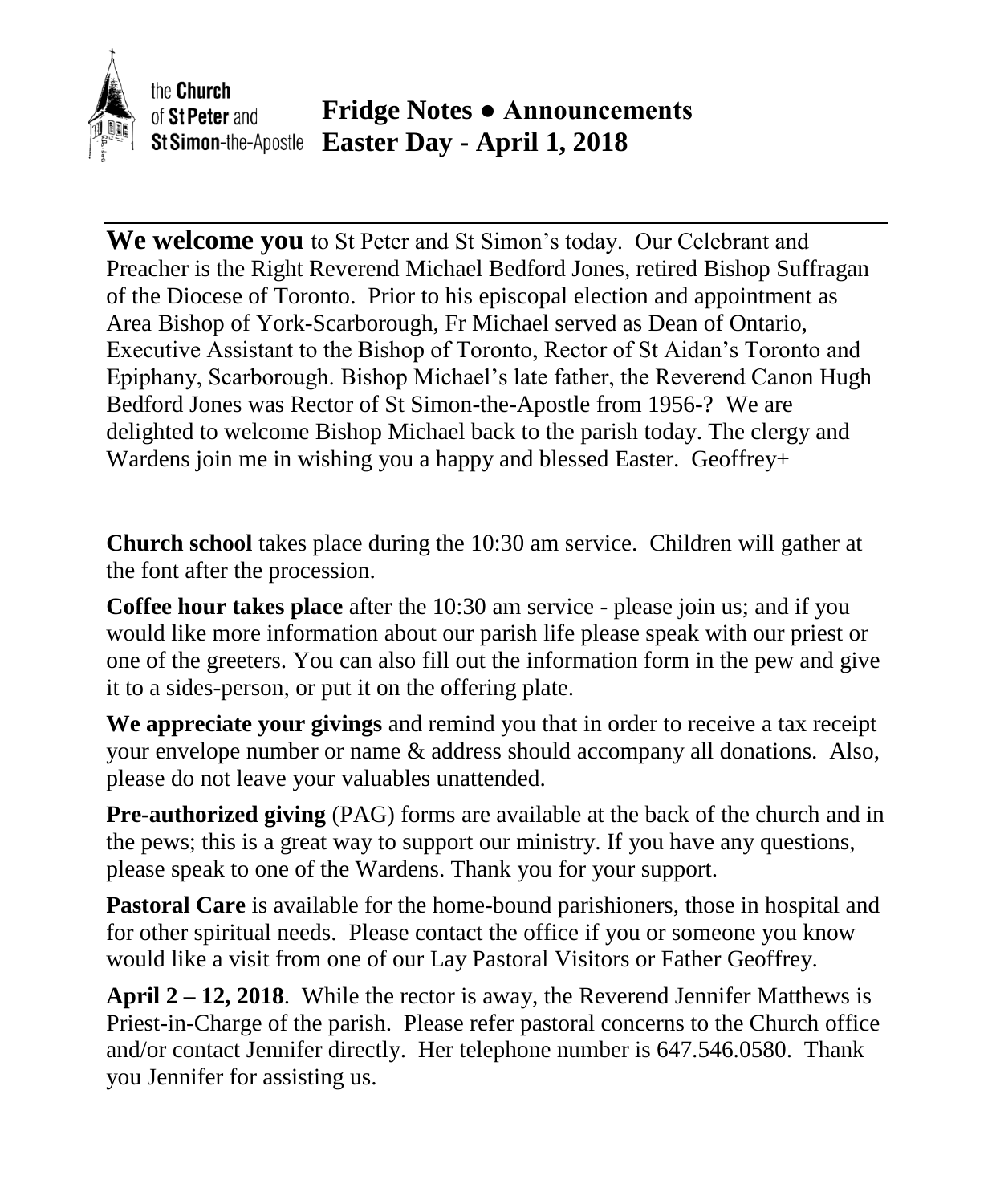

the **Church Fridge Notes ● Announcements** of St Peter and **Easter Day - April 1, 2018** St Simon-the-Apostle

**We welcome you** to St Peter and St Simon's today. Our Celebrant and Preacher is the Right Reverend Michael Bedford Jones, retired Bishop Suffragan of the Diocese of Toronto. Prior to his episcopal election and appointment as Area Bishop of York-Scarborough, Fr Michael served as Dean of Ontario, Executive Assistant to the Bishop of Toronto, Rector of St Aidan's Toronto and Epiphany, Scarborough. Bishop Michael's late father, the Reverend Canon Hugh Bedford Jones was Rector of St Simon-the-Apostle from 1956-? We are delighted to welcome Bishop Michael back to the parish today. The clergy and Wardens join me in wishing you a happy and blessed Easter. Geoffrey+

**Church school** takes place during the 10:30 am service. Children will gather at the font after the procession.

**Coffee hour takes place** after the 10:30 am service - please join us; and if you would like more information about our parish life please speak with our priest or one of the greeters. You can also fill out the information form in the pew and give it to a sides-person, or put it on the offering plate.

**We appreciate your givings** and remind you that in order to receive a tax receipt your envelope number or name & address should accompany all donations. Also, please do not leave your valuables unattended.

**Pre-authorized giving** (PAG) forms are available at the back of the church and in the pews; this is a great way to support our ministry. If you have any questions, please speak to one of the Wardens. Thank you for your support.

**Pastoral Care** is available for the home-bound parishioners, those in hospital and for other spiritual needs. Please contact the office if you or someone you know would like a visit from one of our Lay Pastoral Visitors or Father Geoffrey.

**April 2 – 12, 2018**. While the rector is away, the Reverend Jennifer Matthews is Priest-in-Charge of the parish. Please refer pastoral concerns to the Church office and/or contact Jennifer directly. Her telephone number is 647.546.0580. Thank you Jennifer for assisting us.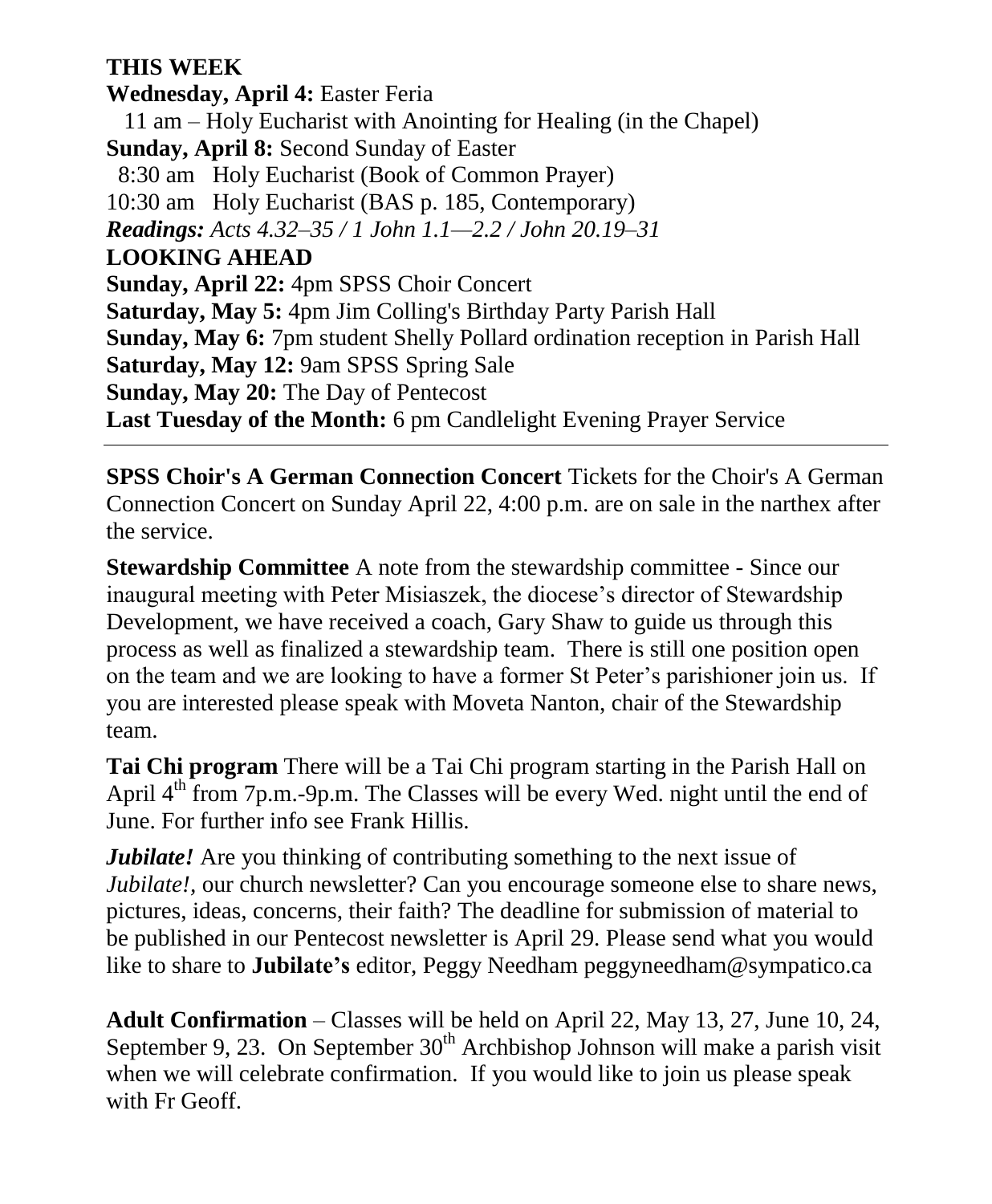## **THIS WEEK**

**Wednesday, April 4:** Easter Feria 11 am – Holy Eucharist with Anointing for Healing (in the Chapel) **Sunday, April 8:** Second Sunday of Easter 8:30 am Holy Eucharist (Book of Common Prayer) 10:30 am Holy Eucharist (BAS p. 185, Contemporary) *Readings: Acts 4.32–35 / 1 John 1.1—2.2 / John 20.19–31* **LOOKING AHEAD Sunday, April 22:** 4pm SPSS Choir Concert **Saturday, May 5:** 4pm Jim Colling's Birthday Party Parish Hall **Sunday, May 6:** 7pm student Shelly Pollard ordination reception in Parish Hall **Saturday, May 12:** 9am SPSS Spring Sale **Sunday, May 20:** The Day of Pentecost **Last Tuesday of the Month:** 6 pm Candlelight Evening Prayer Service

**SPSS Choir's A German Connection Concert** Tickets for the Choir's A German Connection Concert on Sunday April 22, 4:00 p.m. are on sale in the narthex after the service.

**Stewardship Committee** A note from the stewardship committee - Since our inaugural meeting with Peter Misiaszek, the diocese's director of Stewardship Development, we have received a coach, Gary Shaw to guide us through this process as well as finalized a stewardship team. There is still one position open on the team and we are looking to have a former St Peter's parishioner join us. If you are interested please speak with Moveta Nanton, chair of the Stewardship team.

**Tai Chi program** There will be a Tai Chi program starting in the Parish Hall on April 4<sup>th</sup> from 7p.m.-9p.m. The Classes will be every Wed. night until the end of June. For further info see Frank Hillis.

*Jubilate!* Are you thinking of contributing something to the next issue of *Jubilate!*, our church newsletter? Can you encourage someone else to share news, pictures, ideas, concerns, their faith? The deadline for submission of material to be published in our Pentecost newsletter is April 29. Please send what you would like to share to **Jubilate's** editor, Peggy Needham peggyneedham@sympatico.ca

**Adult Confirmation** – Classes will be held on April 22, May 13, 27, June 10, 24, September 9, 23. On September  $30<sup>th</sup>$  Archbishop Johnson will make a parish visit when we will celebrate confirmation. If you would like to join us please speak with Fr Geoff.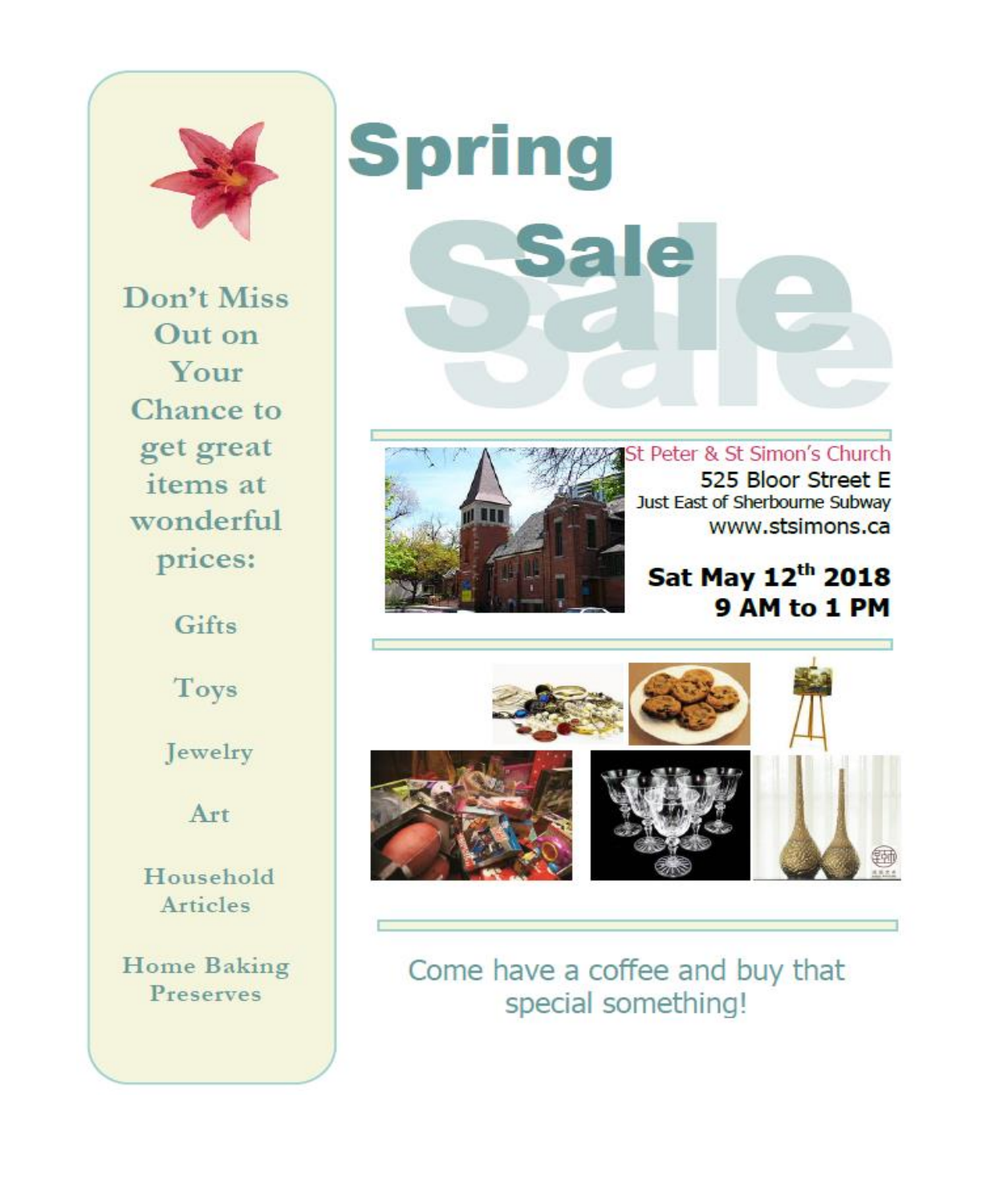

Don't Miss Out on Your Chance to get great items at wonderful prices:

Gifts

Toys

Jewelry

Art

Household Articles

**Home Baking** Preserves





St Peter & St Simon's Church 525 Bloor Street E Just East of Sherbourne Subway www.stsimons.ca

Sat May 12th 2018 9 AM to 1 PM



Come have a coffee and buy that special something!